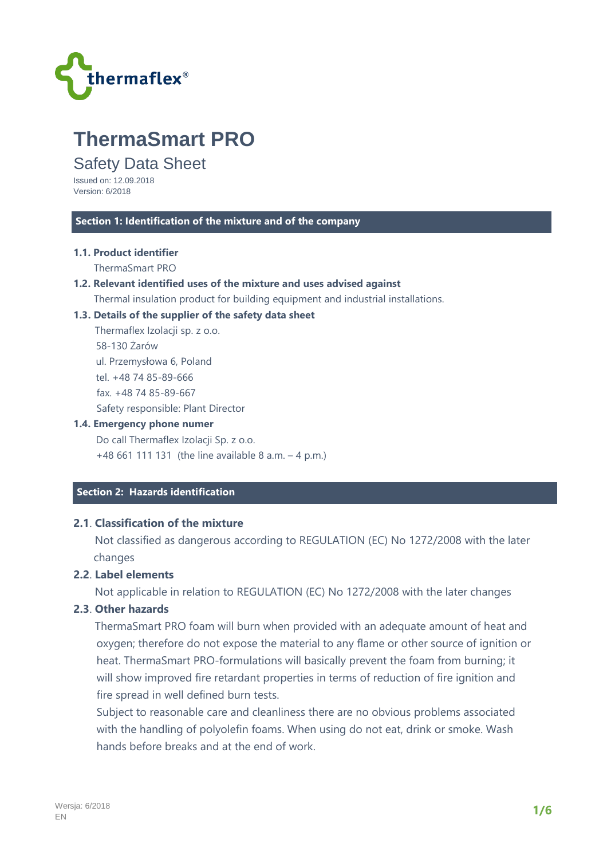

# **ThermaSmart PRO**

# Safety Data Sheet

Issued on: 12.09.2018 Version: 6/2018

#### **Section 1: Identification of the mixture and of the company**

#### **1.1. Product identifier**

ThermaSmart PRO

#### **1.2. Relevant identified uses of the mixture and uses advised against**

Thermal insulation product for building equipment and industrial installations.

#### **1.3. Details of the supplier of the safety data sheet**

 Thermaflex Izolacji sp. z o.o. 58-130 Żarów ul. Przemysłowa 6, Poland tel. +48 74 85-89-666 fax. +48 74 85-89-667 Safety responsible: Plant Director

#### **1.4. Emergency phone numer**

 Do call Thermaflex Izolacji Sp. z o.o. +48 661 111 131 (the line available 8 a.m. – 4 p.m.)

# **Section 2: Hazards identification**

# **2.1**. **Classification of the mixture**

 Not classified as dangerous according to REGULATION (EC) No 1272/2008 with the later changes

# **2.2**. **Label elements**

Not applicable in relation to REGULATION (EC) No 1272/2008 with the later changes

## **2.3**. **Other hazards**

 ThermaSmart PRO foam will burn when provided with an adequate amount of heat and oxygen; therefore do not expose the material to any flame or other source of ignition or heat. ThermaSmart PRO-formulations will basically prevent the foam from burning; it will show improved fire retardant properties in terms of reduction of fire ignition and fire spread in well defined burn tests.

Subject to reasonable care and cleanliness there are no obvious problems associated with the handling of polyolefin foams. When using do not eat, drink or smoke. Wash hands before breaks and at the end of work.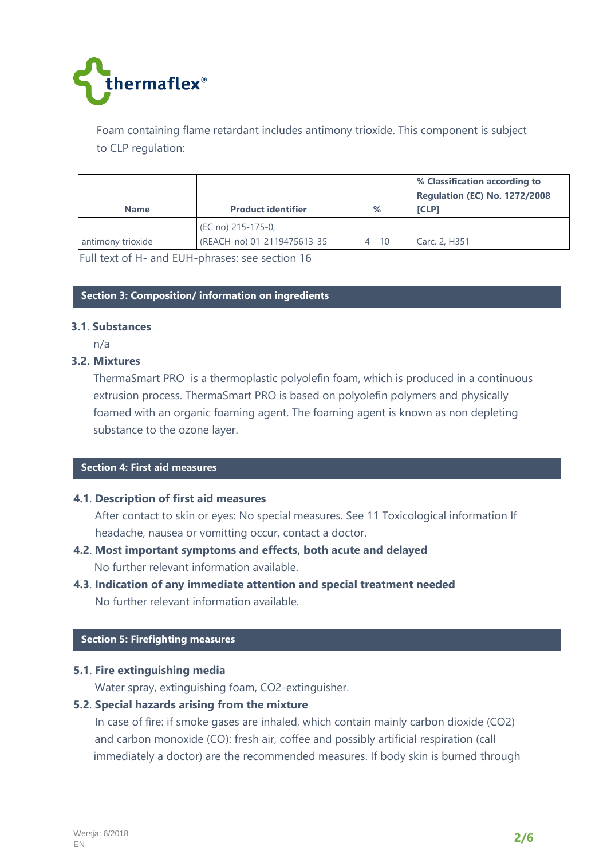

Foam containing flame retardant includes antimony trioxide. This component is subject to CLP regulation:

|                   |                             |          | % Classification according to<br>Regulation (EC) No. 1272/2008 |
|-------------------|-----------------------------|----------|----------------------------------------------------------------|
| <b>Name</b>       | <b>Product identifier</b>   | %        | <b>ICLP1</b>                                                   |
|                   | (EC no) 215-175-0,          |          |                                                                |
| antimony trioxide | (REACH-no) 01-2119475613-35 | $4 - 10$ | Carc. 2, H351                                                  |

Full text of H- and EUH-phrases: see section 16

#### **Section 3: Composition/ information on ingredients**

#### **3.1**. **Substances**

n/a

## **3.2. Mixtures**

ThermaSmart PRO is a thermoplastic polyolefin foam, which is produced in a continuous extrusion process. ThermaSmart PRO is based on polyolefin polymers and physically foamed with an organic foaming agent. The foaming agent is known as non depleting substance to the ozone layer.

#### **Section 4: First aid measures**

#### **4.1**. **Description of first aid measures**

 After contact to skin or eyes: No special measures. See 11 Toxicological information If headache, nausea or vomitting occur, contact a doctor.

- **4.2**. **Most important symptoms and effects, both acute and delayed**  No further relevant information available.
- **4.3**. **Indication of any immediate attention and special treatment needed**  No further relevant information available.

#### **Section 5: Firefighting measures**

#### **5.1**. **Fire extinguishing media**

Water spray, extinguishing foam, CO2-extinguisher.

## **5.2**. **Special hazards arising from the mixture**

 In case of fire: if smoke gases are inhaled, which contain mainly carbon dioxide (CO2) and carbon monoxide (CO): fresh air, coffee and possibly artificial respiration (call immediately a doctor) are the recommended measures. If body skin is burned through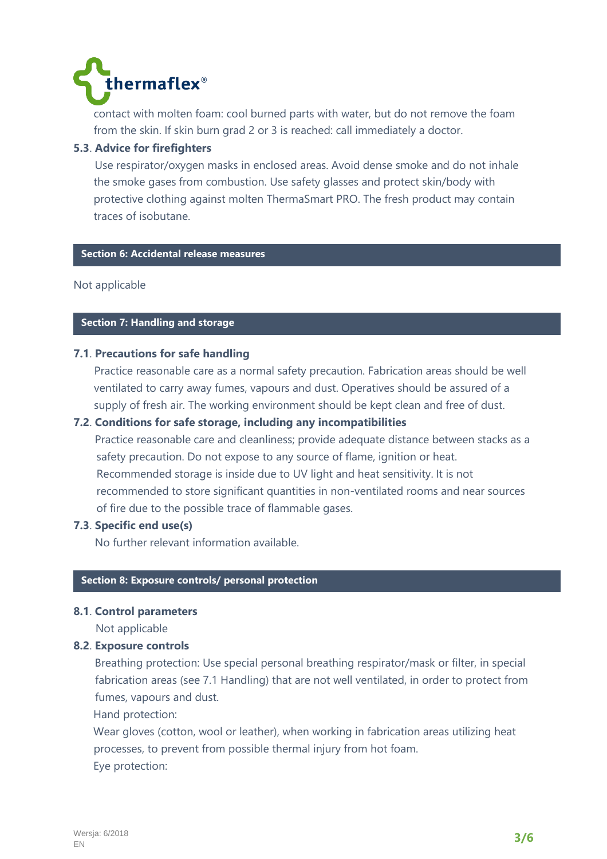

contact with molten foam: cool burned parts with water, but do not remove the foam from the skin. If skin burn grad 2 or 3 is reached: call immediately a doctor.

# **5.3**. **Advice for firefighters**

 Use respirator/oxygen masks in enclosed areas. Avoid dense smoke and do not inhale the smoke gases from combustion. Use safety glasses and protect skin/body with protective clothing against molten ThermaSmart PRO. The fresh product may contain traces of isobutane.

# **Section 6: Accidental release measures**

Not applicable

# **Section 7: Handling and storage**

## **7.1**. **Precautions for safe handling**

Practice reasonable care as a normal safety precaution. Fabrication areas should be well ventilated to carry away fumes, vapours and dust. Operatives should be assured of a supply of fresh air. The working environment should be kept clean and free of dust.

## **7.2**. **Conditions for safe storage, including any incompatibilities**

 Practice reasonable care and cleanliness; provide adequate distance between stacks as a safety precaution. Do not expose to any source of flame, ignition or heat. Recommended storage is inside due to UV light and heat sensitivity. It is not recommended to store significant quantities in non-ventilated rooms and near sources of fire due to the possible trace of flammable gases.

## **7.3**. **Specific end use(s)**

No further relevant information available.

## **Section 8: Exposure controls/ personal protection**

#### **8.1**. **Control parameters**

Not applicable

## **8.2**. **Exposure controls**

 Breathing protection: Use special personal breathing respirator/mask or filter, in special fabrication areas (see 7.1 Handling) that are not well ventilated, in order to protect from fumes, vapours and dust.

Hand protection:

 Wear gloves (cotton, wool or leather), when working in fabrication areas utilizing heat processes, to prevent from possible thermal injury from hot foam. Eye protection: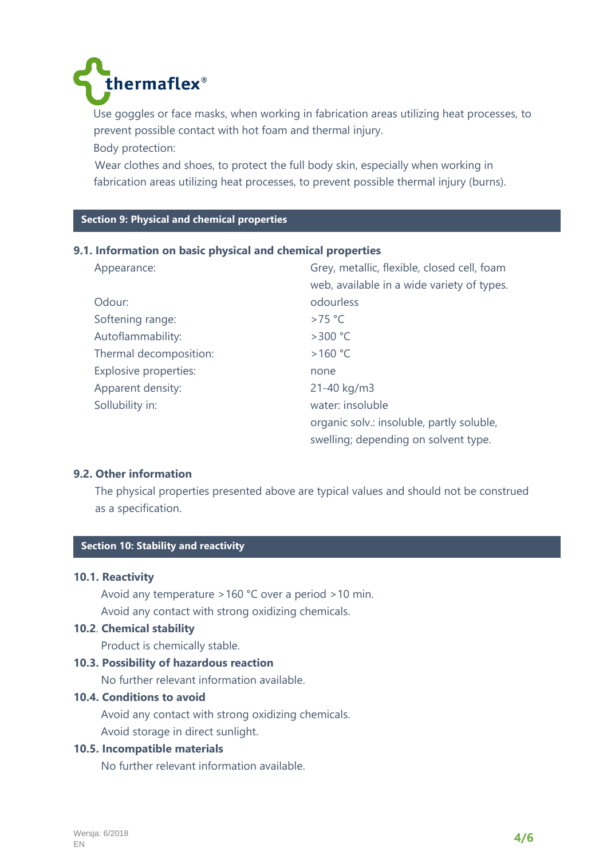

 Use goggles or face masks, when working in fabrication areas utilizing heat processes, to prevent possible contact with hot foam and thermal injury. Body protection:

 Wear clothes and shoes, to protect the full body skin, especially when working in fabrication areas utilizing heat processes, to prevent possible thermal injury (burns).

# **C Section 9: Physical and chemical properties**

## **9.1. Information on basic physical and chemical properties**

| Appearance:                  | Grey, metallic, flexible, closed cell, foam |
|------------------------------|---------------------------------------------|
|                              | web, available in a wide variety of types.  |
| Odour:                       | odourless                                   |
| Softening range:             | $>75$ °C                                    |
| Autoflammability:            | $>300$ °C                                   |
| Thermal decomposition:       | >160 °C                                     |
| <b>Explosive properties:</b> | none                                        |
| Apparent density:            | 21-40 kg/m3                                 |
| Sollubility in:              | water: insoluble                            |
|                              | organic solv.: insoluble, partly soluble,   |
|                              | swelling; depending on solvent type.        |

## **9.2. Other information**

 The physical properties presented above are typical values and should not be construed as a specification.

# **C Section 10: Stability and reactivity**

# **10.1. Reactivity**

 Avoid any temperature >160 °C over a period >10 min. Avoid any contact with strong oxidizing chemicals.

#### **10.2**. **Chemical stability**

Product is chemically stable.

#### **10.3. Possibility of hazardous reaction**

No further relevant information available.

## **10.4. Conditions to avoid**

 Avoid any contact with strong oxidizing chemicals. Avoid storage in direct sunlight.

# **10.5. Incompatible materials**

No further relevant information available.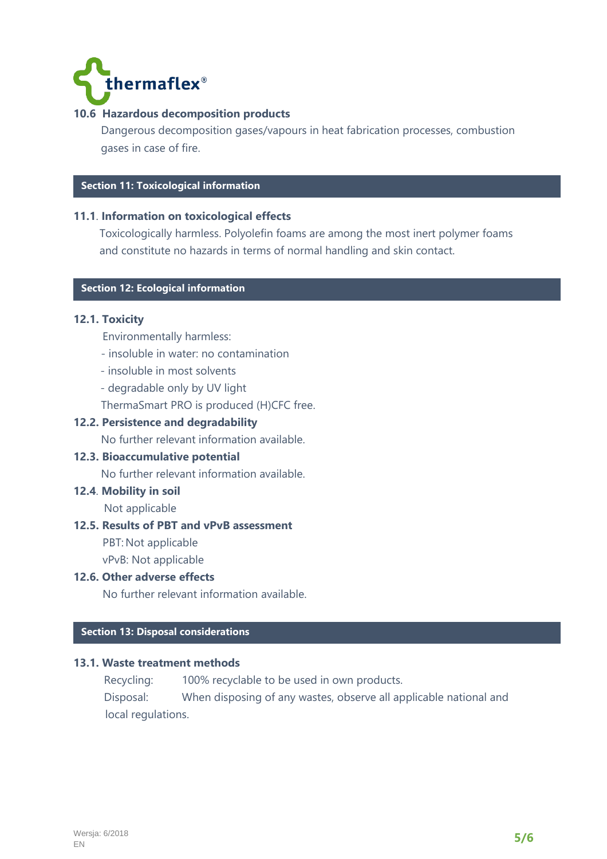

# **10.6 Hazardous decomposition products**

 Dangerous decomposition gases/vapours in heat fabrication processes, combustion gases in case of fire.

# **Section 11: Toxicological information**

## **11.1**. **Information on toxicological effects**

Toxicologically harmless. Polyolefin foams are among the most inert polymer foams and constitute no hazards in terms of normal handling and skin contact.

# **C Section 12: Ecological information**

## **12.1. Toxicity**

- Environmentally harmless:
- insoluble in water: no contamination
- insoluble in most solvents
- degradable only by UV light
- ThermaSmart PRO is produced (H)CFC free.

## **12.2. Persistence and degradability**

No further relevant information available.

#### **12.3. Bioaccumulative potential**

No further relevant information available.

# **12.4**. **Mobility in soil**

Not applicable

#### **12.5. Results of PBT and vPvB assessment**

PBT: Not applicable

vPvB: Not applicable

# **12.6. Other adverse effects**

No further relevant information available.

# **C Section 13: Disposal considerations**

#### **13.1. Waste treatment methods**

Recycling: 100% recyclable to be used in own products.

 Disposal: When disposing of any wastes, observe all applicable national and local regulations.